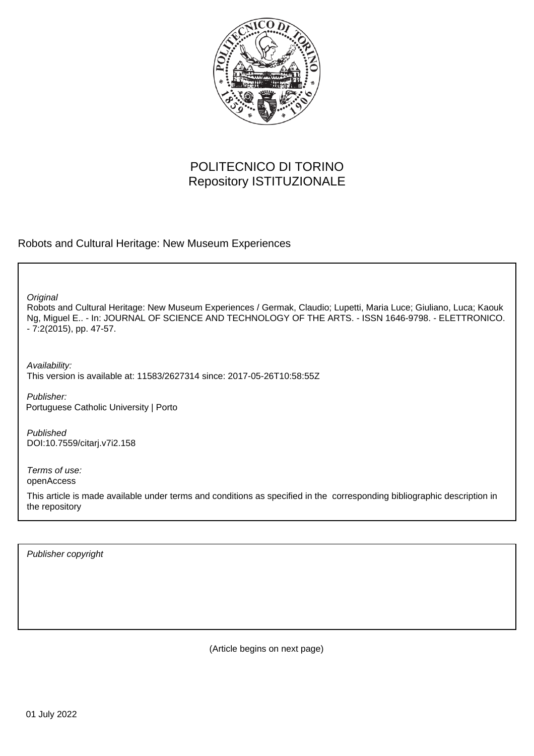

## POLITECNICO DI TORINO Repository ISTITUZIONALE

### Robots and Cultural Heritage: New Museum Experiences

**Original** 

Robots and Cultural Heritage: New Museum Experiences / Germak, Claudio; Lupetti, Maria Luce; Giuliano, Luca; Kaouk Ng, Miguel E.. - In: JOURNAL OF SCIENCE AND TECHNOLOGY OF THE ARTS. - ISSN 1646-9798. - ELETTRONICO. - 7:2(2015), pp. 47-57.

Availability: This version is available at: 11583/2627314 since: 2017-05-26T10:58:55Z

Publisher: Portuguese Catholic University | Porto

Published DOI:10.7559/citarj.v7i2.158

Terms of use: openAccess

This article is made available under terms and conditions as specified in the corresponding bibliographic description in the repository

Publisher copyright

(Article begins on next page)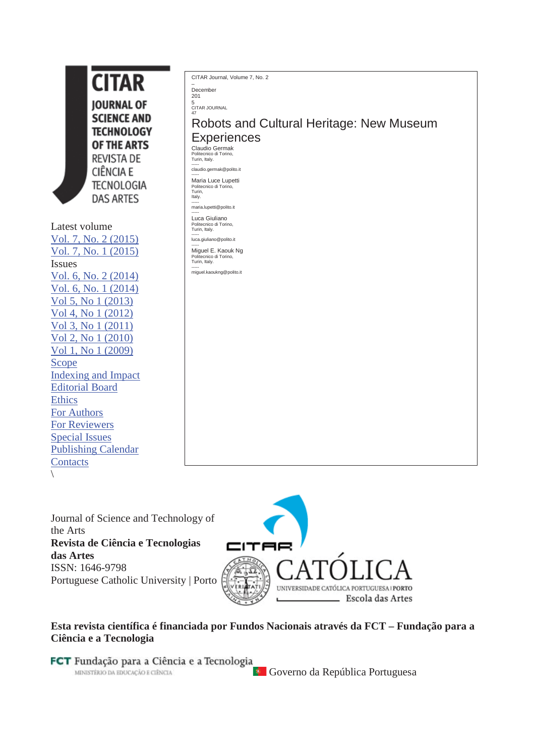**CITAR IOURNAL OF SCIENCE AND TECHNOLOGY** OF THE ARTS **REVISTA DE CIÊNCIA E TECNOLOGIA DAS ARTES** Latest volume Vol. 7, No. 2 (2015) Vol. 7, No. 1 (2015)

Issues Vol. 6, No. 2 (2014) Vol. 6, No. 1 (2014) Vol 5, No 1 (2013) Vol 4, No 1 (2012) Vol 3, No 1 (2011) Vol 2, No 1 (2010) Vol 1, No 1 (2009) Scope Indexing and Impact Editorial Board **Ethics** For Authors For Reviewers Special Issues Publishing Calendar **Contacts**  $\sqrt{2}$ 

CITAR Journal, Volume 7, No. 2

– December 201

CITAR JOURNAL 47

5

Robots and Cultural Heritage: New Museum **Experiences** 

Claudio Germak Politecnico di Torino, Turin, Italy.

----- claudio.germak@polito.it ----- Maria Luce Lupetti

Politecnico di Torino, Turin, Italy. ----- maria.lupetti@polito.it

Luca Giuliano

Luca Giuliano Politecnico di Torino, Turin, Italy. ---- luca.giuliano@polito.it

----- Miguel E. Kaouk Ng Politecnico di Torino, Turin, Italy.

----- miguel.kaoukng@polito.it

Journal of Science and Technology of the Arts **Revista de Ciência e Tecnologias das Artes** ISSN: 1646-9798 Portuguese Catholic University | Porto



## **Esta revista científica é financiada por Fundos Nacionais através da FCT – Fundação para a Ciência e a Tecnologia**

FCT Fundação para a Ciência e a Tecnologia MINISTÉRIO DA EDUCAÇÃO E CIÊNCIA

**Governo da República Portuguesa**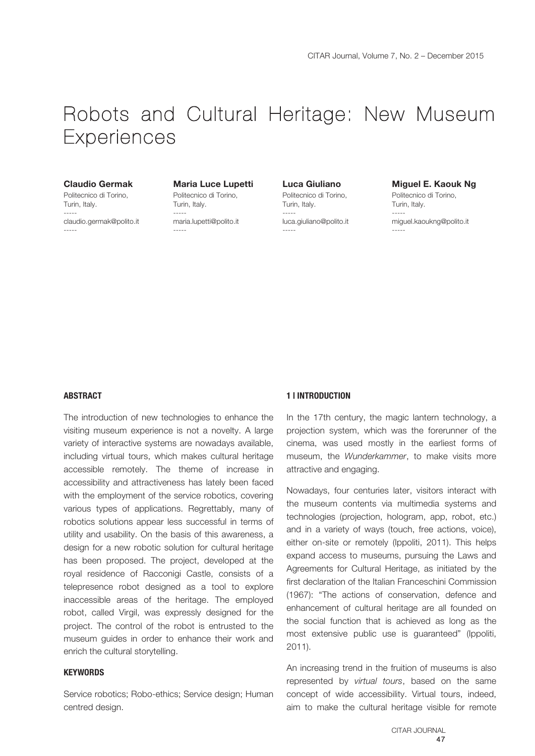# Robots and Cultural Heritage: New Museum **Experiences**

#### **Claudio Germak**

Politecnico di Torino, Turin, Italy. ---- claudio.germak@polito.it -----

#### **Maria Luce Lupetti**

Politecnico di Torino, Turin, Italy. ---- maria.lupetti@polito.it -----

**Luca Giuliano** 

Politecnico di Torino, Turin, Italy. ---- luca.giuliano@polito.it -----

#### **Miguel E. Kaouk Ng**

Politecnico di Torino, Turin, Italy. ---- miguel.kaoukng@polito.it -----

#### **ABSTRACT**

The introduction of new technologies to enhance the visiting museum experience is not a novelty. A large variety of interactive systems are nowadays available, including virtual tours, which makes cultural heritage accessible remotely. The theme of increase in accessibility and attractiveness has lately been faced with the employment of the service robotics, covering various types of applications. Regrettably, many of robotics solutions appear less successful in terms of utility and usability. On the basis of this awareness, a design for a new robotic solution for cultural heritage has been proposed. The project, developed at the royal residence of Racconigi Castle, consists of a telepresence robot designed as a tool to explore inaccessible areas of the heritage. The employed robot, called Virgil, was expressly designed for the project. The control of the robot is entrusted to the museum guides in order to enhance their work and enrich the cultural storytelling.

#### **KEYWORDS**

Service robotics; Robo-ethics; Service design; Human centred design.

#### **1 | INTRODUCTION**

In the 17th century, the magic lantern technology, a projection system, which was the forerunner of the cinema, was used mostly in the earliest forms of museum, the *Wunderkammer*, to make visits more attractive and engaging.

Nowadays, four centuries later, visitors interact with the museum contents via multimedia systems and technologies (projection, hologram, app, robot, etc.) and in a variety of ways (touch, free actions, voice), either on-site or remotely (Ippoliti, 2011). This helps expand access to museums, pursuing the Laws and Agreements for Cultural Heritage, as initiated by the first declaration of the Italian Franceschini Commission (1967): "The actions of conservation, defence and enhancement of cultural heritage are all founded on the social function that is achieved as long as the most extensive public use is guaranteed" (Ippoliti, 2011).

An increasing trend in the fruition of museums is also represented by *virtual tours*, based on the same concept of wide accessibility. Virtual tours, indeed, aim to make the cultural heritage visible for remote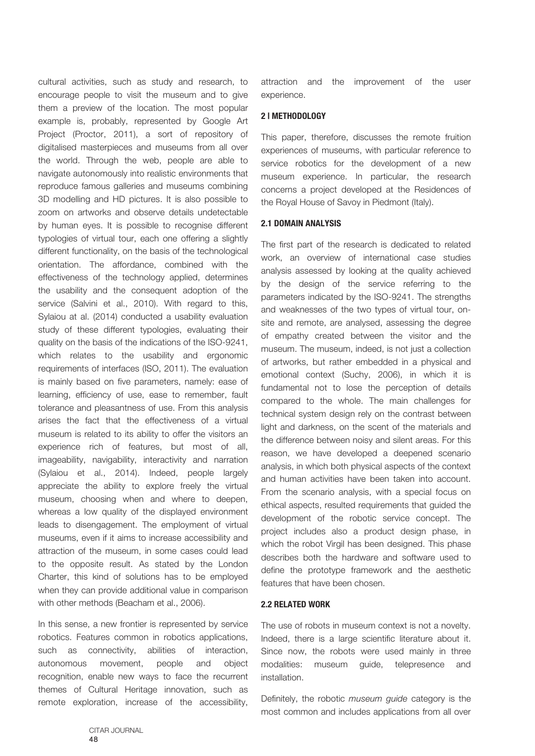cultural activities, such as study and research, to encourage people to visit the museum and to give them a preview of the location. The most popular example is, probably, represented by Google Art Project (Proctor, 2011), a sort of repository of digitalised masterpieces and museums from all over the world. Through the web, people are able to navigate autonomously into realistic environments that reproduce famous galleries and museums combining 3D modelling and HD pictures. It is also possible to zoom on artworks and observe details undetectable by human eyes. It is possible to recognise different typologies of virtual tour, each one offering a slightly different functionality, on the basis of the technological orientation. The affordance, combined with the effectiveness of the technology applied, determines the usability and the consequent adoption of the service (Salvini et al., 2010). With regard to this, Sylaiou at al. (2014) conducted a usability evaluation study of these different typologies, evaluating their quality on the basis of the indications of the ISO-9241, which relates to the usability and ergonomic requirements of interfaces (ISO, 2011). The evaluation is mainly based on five parameters, namely: ease of learning, efficiency of use, ease to remember, fault tolerance and pleasantness of use. From this analysis arises the fact that the effectiveness of a virtual museum is related to its ability to offer the visitors an experience rich of features, but most of all, imageability, navigability, interactivity and narration (Sylaiou et al., 2014). Indeed, people largely appreciate the ability to explore freely the virtual museum, choosing when and where to deepen, whereas a low quality of the displayed environment leads to disengagement. The employment of virtual museums, even if it aims to increase accessibility and attraction of the museum, in some cases could lead to the opposite result. As stated by the London Charter, this kind of solutions has to be employed when they can provide additional value in comparison with other methods (Beacham et al., 2006).

In this sense, a new frontier is represented by service robotics. Features common in robotics applications, such as connectivity, abilities of interaction, autonomous movement, people and object recognition, enable new ways to face the recurrent themes of Cultural Heritage innovation, such as remote exploration, increase of the accessibility,

attraction and the improvement of the user experience.

#### **2 | METHODOLOGY**

This paper, therefore, discusses the remote fruition experiences of museums, with particular reference to service robotics for the development of a new museum experience. In particular, the research concerns a project developed at the Residences of the Royal House of Savoy in Piedmont (Italy).

#### **2.1 DOMAIN ANALYSIS**

The first part of the research is dedicated to related work, an overview of international case studies analysis assessed by looking at the quality achieved by the design of the service referring to the parameters indicated by the ISO-9241. The strengths and weaknesses of the two types of virtual tour, onsite and remote, are analysed, assessing the degree of empathy created between the visitor and the museum. The museum, indeed, is not just a collection of artworks, but rather embedded in a physical and emotional context (Suchy, 2006), in which it is fundamental not to lose the perception of details compared to the whole. The main challenges for technical system design rely on the contrast between light and darkness, on the scent of the materials and the difference between noisy and silent areas. For this reason, we have developed a deepened scenario analysis, in which both physical aspects of the context and human activities have been taken into account. From the scenario analysis, with a special focus on ethical aspects, resulted requirements that guided the development of the robotic service concept. The project includes also a product design phase, in which the robot Virgil has been designed. This phase describes both the hardware and software used to define the prototype framework and the aesthetic features that have been chosen.

#### **2.2 RELATED WORK**

The use of robots in museum context is not a novelty. Indeed, there is a large scientific literature about it. Since now, the robots were used mainly in three modalities: museum guide, telepresence and installation.

Definitely, the robotic *museum guide* category is the most common and includes applications from all over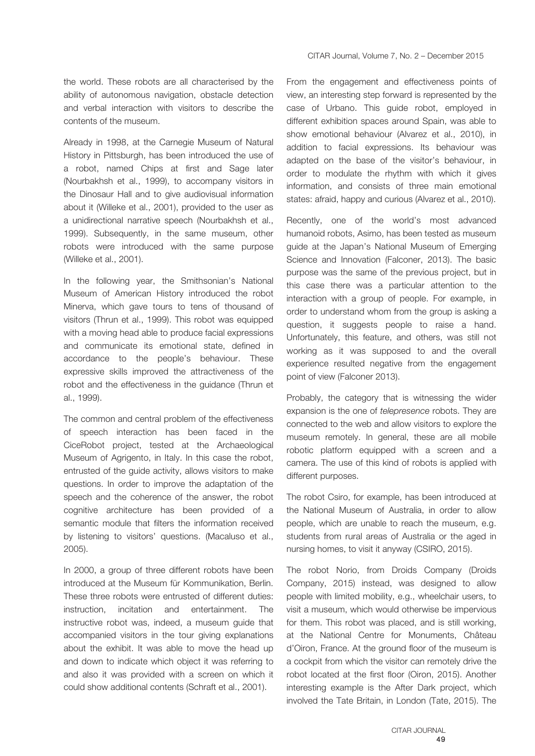the world. These robots are all characterised by the ability of autonomous navigation, obstacle detection and verbal interaction with visitors to describe the contents of the museum.

Already in 1998, at the Carnegie Museum of Natural History in Pittsburgh, has been introduced the use of a robot, named Chips at first and Sage later (Nourbakhsh et al., 1999), to accompany visitors in the Dinosaur Hall and to give audiovisual information about it (Willeke et al., 2001), provided to the user as a unidirectional narrative speech (Nourbakhsh et al., 1999). Subsequently, in the same museum, other robots were introduced with the same purpose (Willeke et al., 2001).

In the following year, the Smithsonian's National Museum of American History introduced the robot Minerva, which gave tours to tens of thousand of visitors (Thrun et al., 1999). This robot was equipped with a moving head able to produce facial expressions and communicate its emotional state, defined in accordance to the people's behaviour. These expressive skills improved the attractiveness of the robot and the effectiveness in the guidance (Thrun et al., 1999).

The common and central problem of the effectiveness of speech interaction has been faced in the CiceRobot project, tested at the Archaeological Museum of Agrigento, in Italy. In this case the robot, entrusted of the guide activity, allows visitors to make questions. In order to improve the adaptation of the speech and the coherence of the answer, the robot cognitive architecture has been provided of a semantic module that filters the information received by listening to visitors' questions. (Macaluso et al., 2005).

In 2000, a group of three different robots have been introduced at the Museum für Kommunikation, Berlin. These three robots were entrusted of different duties: instruction, incitation and entertainment. The instructive robot was, indeed, a museum guide that accompanied visitors in the tour giving explanations about the exhibit. It was able to move the head up and down to indicate which object it was referring to and also it was provided with a screen on which it could show additional contents (Schraft et al., 2001).

From the engagement and effectiveness points of view, an interesting step forward is represented by the case of Urbano. This guide robot, employed in different exhibition spaces around Spain, was able to show emotional behaviour (Alvarez et al., 2010), in addition to facial expressions. Its behaviour was adapted on the base of the visitor's behaviour, in order to modulate the rhythm with which it gives information, and consists of three main emotional states: afraid, happy and curious (Alvarez et al., 2010).

Recently, one of the world's most advanced humanoid robots, Asimo, has been tested as museum guide at the Japan's National Museum of Emerging Science and Innovation (Falconer, 2013). The basic purpose was the same of the previous project, but in this case there was a particular attention to the interaction with a group of people. For example, in order to understand whom from the group is asking a question, it suggests people to raise a hand. Unfortunately, this feature, and others, was still not working as it was supposed to and the overall experience resulted negative from the engagement point of view (Falconer 2013).

Probably, the category that is witnessing the wider expansion is the one of *telepresence* robots. They are connected to the web and allow visitors to explore the museum remotely. In general, these are all mobile robotic platform equipped with a screen and a camera. The use of this kind of robots is applied with different purposes.

The robot Csiro, for example, has been introduced at the National Museum of Australia, in order to allow people, which are unable to reach the museum, e.g. students from rural areas of Australia or the aged in nursing homes, to visit it anyway (CSIRO, 2015).

The robot Norio, from Droids Company (Droids Company, 2015) instead, was designed to allow people with limited mobility, e.g., wheelchair users, to visit a museum, which would otherwise be impervious for them. This robot was placed, and is still working, at the National Centre for Monuments, Château d'Oiron, France. At the ground floor of the museum is a cockpit from which the visitor can remotely drive the robot located at the first floor (Oiron, 2015). Another interesting example is the After Dark project, which involved the Tate Britain, in London (Tate, 2015). The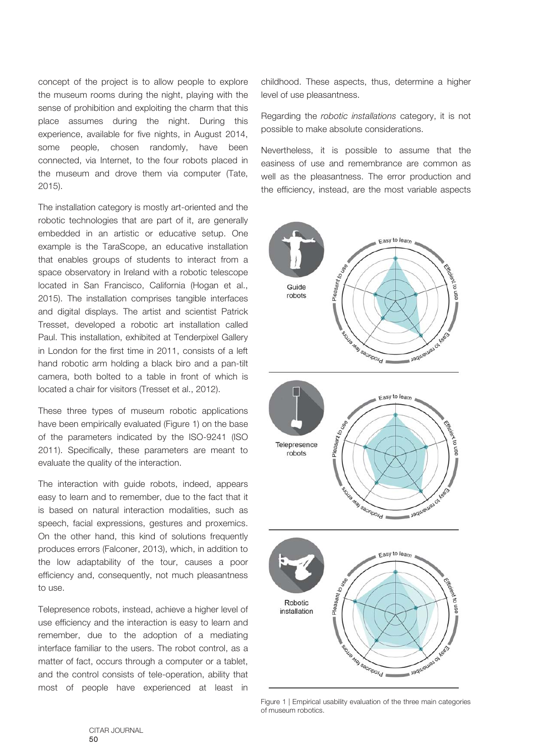concept of the project is to allow people to explore the museum rooms during the night, playing with the sense of prohibition and exploiting the charm that this place assumes during the night. During this experience, available for five nights, in August 2014, some people, chosen randomly, have been connected, via Internet, to the four robots placed in the museum and drove them via computer (Tate, 2015).

The installation category is mostly art-oriented and the robotic technologies that are part of it, are generally embedded in an artistic or educative setup. One example is the TaraScope, an educative installation that enables groups of students to interact from a space observatory in Ireland with a robotic telescope located in San Francisco, California (Hogan et al., 2015). The installation comprises tangible interfaces and digital displays. The artist and scientist Patrick Tresset, developed a robotic art installation called Paul. This installation, exhibited at Tenderpixel Gallery in London for the first time in 2011, consists of a left hand robotic arm holding a black biro and a pan-tilt camera, both bolted to a table in front of which is located a chair for visitors (Tresset et al., 2012).

These three types of museum robotic applications have been empirically evaluated (Figure 1) on the base of the parameters indicated by the ISO-9241 (ISO 2011). Specifically, these parameters are meant to evaluate the quality of the interaction.

The interaction with guide robots, indeed, appears easy to learn and to remember, due to the fact that it is based on natural interaction modalities, such as speech, facial expressions, gestures and proxemics. On the other hand, this kind of solutions frequently produces errors (Falconer, 2013), which, in addition to the low adaptability of the tour, causes a poor efficiency and, consequently, not much pleasantness to use.

Telepresence robots, instead, achieve a higher level of use efficiency and the interaction is easy to learn and remember, due to the adoption of a mediating interface familiar to the users. The robot control, as a matter of fact, occurs through a computer or a tablet, and the control consists of tele-operation, ability that most of people have experienced at least in

childhood. These aspects, thus, determine a higher level of use pleasantness.

Regarding the *robotic installations* category, it is not possible to make absolute considerations.

Nevertheless, it is possible to assume that the easiness of use and remembrance are common as well as the pleasantness. The error production and the efficiency, instead, are the most variable aspects



Figure 1 | Empirical usability evaluation of the three main categories of museum robotics.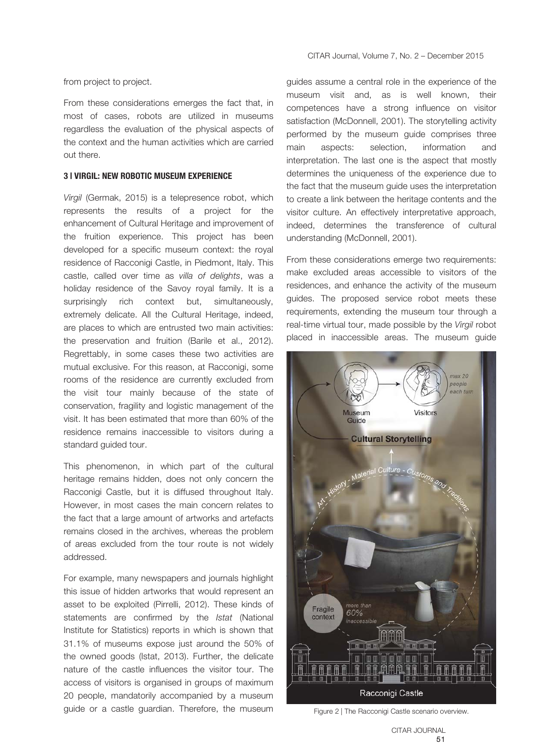from project to project.

From these considerations emerges the fact that, in most of cases, robots are utilized in museums regardless the evaluation of the physical aspects of the context and the human activities which are carried out there.

#### **3 | VIRGIL: NEW ROBOTIC MUSEUM EXPERIENCE**

*Virgil* (Germak, 2015) is a telepresence robot, which represents the results of a project for the enhancement of Cultural Heritage and improvement of the fruition experience. This project has been developed for a specific museum context: the royal residence of Racconigi Castle, in Piedmont, Italy. This castle, called over time as *villa of delights*, was a holiday residence of the Savoy royal family. It is a surprisingly rich context but, simultaneously, extremely delicate. All the Cultural Heritage, indeed, are places to which are entrusted two main activities: the preservation and fruition (Barile et al., 2012). Regrettably, in some cases these two activities are mutual exclusive. For this reason, at Racconigi, some rooms of the residence are currently excluded from the visit tour mainly because of the state of conservation, fragility and logistic management of the visit. It has been estimated that more than 60% of the residence remains inaccessible to visitors during a standard guided tour.

This phenomenon, in which part of the cultural heritage remains hidden, does not only concern the Racconigi Castle, but it is diffused throughout Italy. However, in most cases the main concern relates to the fact that a large amount of artworks and artefacts remains closed in the archives, whereas the problem of areas excluded from the tour route is not widely addressed.

For example, many newspapers and journals highlight this issue of hidden artworks that would represent an asset to be exploited (Pirrelli, 2012). These kinds of statements are confirmed by the *Istat* (National Institute for Statistics) reports in which is shown that 31.1% of museums expose just around the 50% of the owned goods (Istat, 2013). Further, the delicate nature of the castle influences the visitor tour. The access of visitors is organised in groups of maximum 20 people, mandatorily accompanied by a museum guide or a castle guardian. Therefore, the museum

guides assume a central role in the experience of the museum visit and, as is well known, their competences have a strong influence on visitor satisfaction (McDonnell, 2001). The storytelling activity performed by the museum guide comprises three main aspects: selection, information and interpretation. The last one is the aspect that mostly determines the uniqueness of the experience due to the fact that the museum guide uses the interpretation to create a link between the heritage contents and the visitor culture. An effectively interpretative approach, indeed, determines the transference of cultural understanding (McDonnell, 2001).

From these considerations emerge two requirements: make excluded areas accessible to visitors of the residences, and enhance the activity of the museum guides. The proposed service robot meets these requirements, extending the museum tour through a real-time virtual tour, made possible by the *Virgil* robot placed in inaccessible areas. The museum guide



Figure 2 | The Racconigi Castle scenario overview.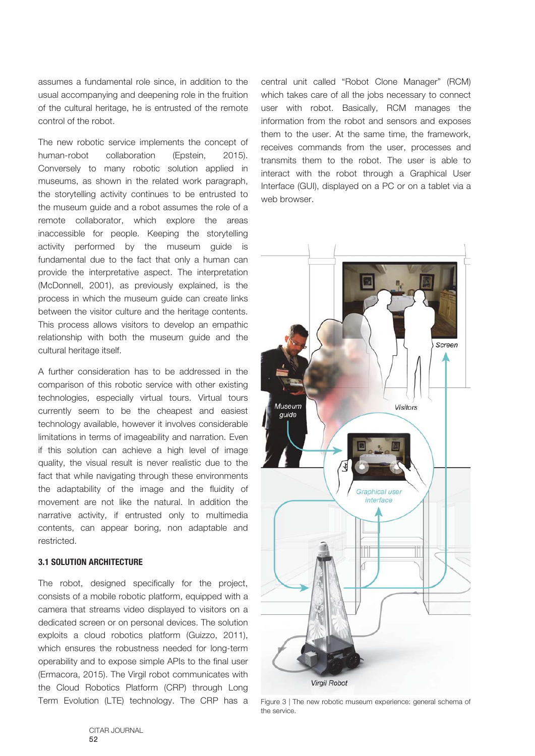assumes a fundamental role since, in addition to the usual accompanying and deepening role in the fruition of the cultural heritage, he is entrusted of the remote control of the robot.

The new robotic service implements the concept of human-robot collaboration (Epstein, 2015). Conversely to many robotic solution applied in museums, as shown in the related work paragraph, the storytelling activity continues to be entrusted to the museum guide and a robot assumes the role of a remote collaborator, which explore the areas inaccessible for people. Keeping the storytelling activity performed by the museum guide is fundamental due to the fact that only a human can provide the interpretative aspect. The interpretation (McDonnell, 2001), as previously explained, is the process in which the museum guide can create links between the visitor culture and the heritage contents. This process allows visitors to develop an empathic relationship with both the museum guide and the cultural heritage itself.

A further consideration has to be addressed in the comparison of this robotic service with other existing technologies, especially virtual tours. Virtual tours currently seem to be the cheapest and easiest technology available, however it involves considerable limitations in terms of imageability and narration. Even if this solution can achieve a high level of image quality, the visual result is never realistic due to the fact that while navigating through these environments the adaptability of the image and the fluidity of movement are not like the natural. In addition the narrative activity, if entrusted only to multimedia contents, can appear boring, non adaptable and restricted.

#### **3.1 SOLUTION ARCHITECTURE**

The robot, designed specifically for the project, consists of a mobile robotic platform, equipped with a camera that streams video displayed to visitors on a dedicated screen or on personal devices. The solution exploits a cloud robotics platform (Guizzo, 2011), which ensures the robustness needed for long-term operability and to expose simple APIs to the final user (Ermacora, 2015). The Virgil robot communicates with the Cloud Robotics Platform (CRP) through Long Term Evolution (LTE) technology. The CRP has a central unit called "Robot Clone Manager" (RCM) which takes care of all the jobs necessary to connect user with robot. Basically, RCM manages the information from the robot and sensors and exposes them to the user. At the same time, the framework, receives commands from the user, processes and transmits them to the robot. The user is able to interact with the robot through a Graphical User Interface (GUI), displayed on a PC or on a tablet via a web browser.



Figure 3 | The new robotic museum experience: general schema of the service.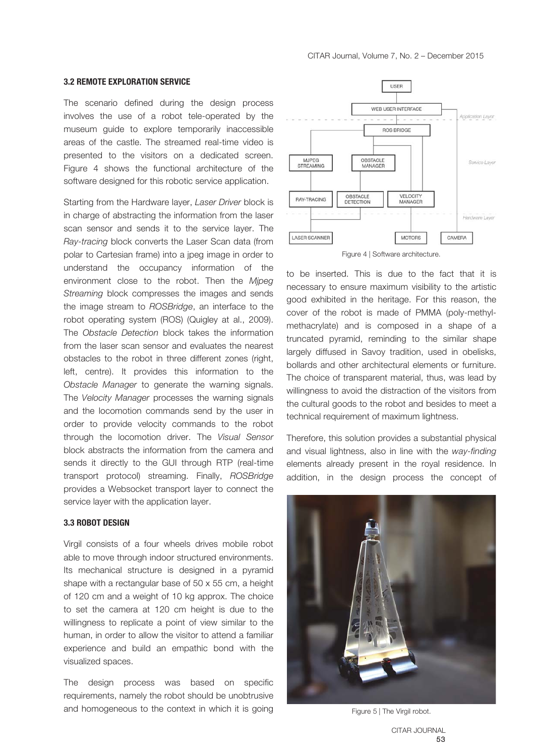#### **3.2 REMOTE EXPLORATION SERVICE**

The scenario defined during the design process involves the use of a robot tele-operated by the museum guide to explore temporarily inaccessible areas of the castle. The streamed real-time video is presented to the visitors on a dedicated screen. Figure 4 shows the functional architecture of the software designed for this robotic service application.

Starting from the Hardware layer, *Laser Driver* block is in charge of abstracting the information from the laser scan sensor and sends it to the service layer. The *Ray-tracing* block converts the Laser Scan data (from polar to Cartesian frame) into a jpeg image in order to understand the occupancy information of the environment close to the robot. Then the *Mjpeg Streaming* block compresses the images and sends the image stream to *ROSBridge*, an interface to the robot operating system (ROS) (Quigley at al., 2009). The *Obstacle Detection* block takes the information from the laser scan sensor and evaluates the nearest obstacles to the robot in three different zones (right, left, centre). It provides this information to the *Obstacle Manager* to generate the warning signals. The *Velocity Manager* processes the warning signals and the locomotion commands send by the user in order to provide velocity commands to the robot through the locomotion driver. The *Visual Sensor* block abstracts the information from the camera and sends it directly to the GUI through RTP (real-time transport protocol) streaming. Finally, *ROSBridge* provides a Websocket transport layer to connect the service layer with the application layer.

#### **3.3 ROBOT DESIGN**

Virgil consists of a four wheels drives mobile robot able to move through indoor structured environments. Its mechanical structure is designed in a pyramid shape with a rectangular base of 50 x 55 cm, a height of 120 cm and a weight of 10 kg approx. The choice to set the camera at 120 cm height is due to the willingness to replicate a point of view similar to the human, in order to allow the visitor to attend a familiar experience and build an empathic bond with the visualized spaces.

The design process was based on specific requirements, namely the robot should be unobtrusive and homogeneous to the context in which it is going



Figure 4 | Software architecture.

to be inserted. This is due to the fact that it is necessary to ensure maximum visibility to the artistic good exhibited in the heritage. For this reason, the cover of the robot is made of PMMA (poly-methylmethacrylate) and is composed in a shape of a truncated pyramid, reminding to the similar shape largely diffused in Savoy tradition, used in obelisks, bollards and other architectural elements or furniture. The choice of transparent material, thus, was lead by willingness to avoid the distraction of the visitors from the cultural goods to the robot and besides to meet a technical requirement of maximum lightness.

Therefore, this solution provides a substantial physical and visual lightness, also in line with the *way-finding* elements already present in the royal residence. In addition, in the design process the concept of



Figure 5 | The Virgil robot.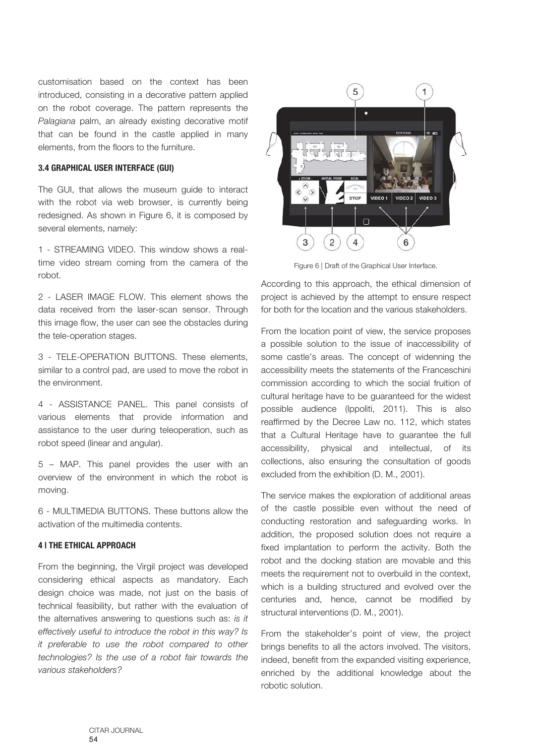customisation based on the context has been introduced, consisting in a decorative pattern applied on the robot coverage. The pattern represents the *Palagiana* palm, an already existing decorative motif that can be found in the castle applied in many elements, from the floors to the furniture.

#### **3.4 GRAPHICAL USER INTERFACE (GUI)**

The GUI, that allows the museum guide to interact with the robot via web browser, is currently being redesigned. As shown in Figure 6, it is composed by several elements, namely:

1 - STREAMING VIDEO. This window shows a realtime video stream coming from the camera of the robot.

2 - LASER IMAGE FLOW. This element shows the data received from the laser-scan sensor. Through this image flow, the user can see the obstacles during the tele-operation stages.

3 - TELE-OPERATION BUTTONS. These elements, similar to a control pad, are used to move the robot in the environment.

4 - ASSISTANCE PANEL. This panel consists of various elements that provide information and assistance to the user during teleoperation, such as robot speed (linear and angular).

5 – MAP. This panel provides the user with an overview of the environment in which the robot is moving.

6 - MULTIMEDIA BUTTONS. These buttons allow the activation of the multimedia contents.

#### **4 | THE ETHICAL APPROACH**

From the beginning, the Virgil project was developed considering ethical aspects as mandatory. Each design choice was made, not just on the basis of technical feasibility, but rather with the evaluation of the alternatives answering to questions such as: *is it effectively useful to introduce the robot in this way? Is it preferable to use the robot compared to other technologies? Is the use of a robot fair towards the various stakeholders?*



Figure 6 | Draft of the Graphical User Interface.

According to this approach, the ethical dimension of project is achieved by the attempt to ensure respect for both for the location and the various stakeholders.

From the location point of view, the service proposes a possible solution to the issue of inaccessibility of some castle's areas. The concept of widenning the accessibility meets the statements of the Franceschini commission according to which the social fruition of cultural heritage have to be guaranteed for the widest possible audience (Ippoliti, 2011). This is also reaffirmed by the Decree Law no. 112, which states that a Cultural Heritage have to guarantee the full accessibility, physical and intellectual, of its collections, also ensuring the consultation of goods excluded from the exhibition (D. M., 2001).

The service makes the exploration of additional areas of the castle possible even without the need of conducting restoration and safeguarding works. In addition, the proposed solution does not require a fixed implantation to perform the activity. Both the robot and the docking station are movable and this meets the requirement not to overbuild in the context, which is a building structured and evolved over the centuries and, hence, cannot be modified by structural interventions (D. M., 2001).

From the stakeholder's point of view, the project brings benefits to all the actors involved. The visitors, indeed, benefit from the expanded visiting experience, enriched by the additional knowledge about the robotic solution.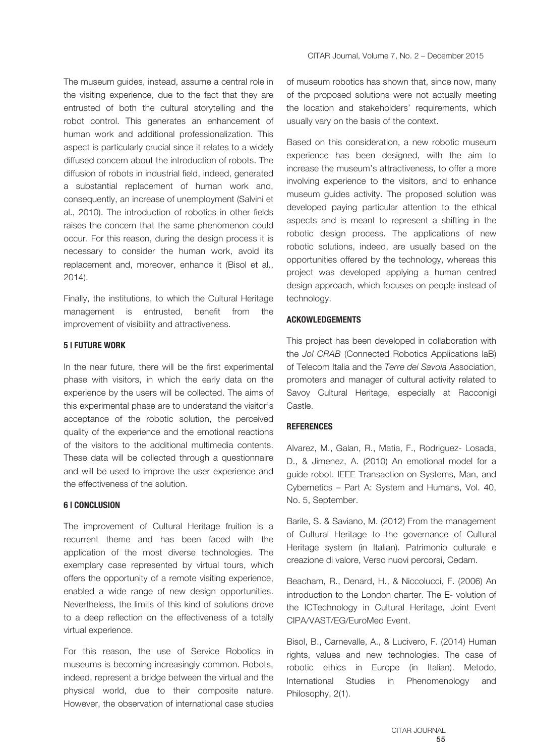The museum guides, instead, assume a central role in the visiting experience, due to the fact that they are entrusted of both the cultural storytelling and the robot control. This generates an enhancement of human work and additional professionalization. This aspect is particularly crucial since it relates to a widely diffused concern about the introduction of robots. The diffusion of robots in industrial field, indeed, generated a substantial replacement of human work and, consequently, an increase of unemployment (Salvini et al., 2010). The introduction of robotics in other fields raises the concern that the same phenomenon could occur. For this reason, during the design process it is necessary to consider the human work, avoid its replacement and, moreover, enhance it (Bisol et al., 2014).

Finally, the institutions, to which the Cultural Heritage management is entrusted, benefit from the improvement of visibility and attractiveness.

#### **5 | FUTURE WORK**

In the near future, there will be the first experimental phase with visitors, in which the early data on the experience by the users will be collected. The aims of this experimental phase are to understand the visitor's acceptance of the robotic solution, the perceived quality of the experience and the emotional reactions of the visitors to the additional multimedia contents. These data will be collected through a questionnaire and will be used to improve the user experience and the effectiveness of the solution.

#### **6 | CONCLUSION**

The improvement of Cultural Heritage fruition is a recurrent theme and has been faced with the application of the most diverse technologies. The exemplary case represented by virtual tours, which offers the opportunity of a remote visiting experience, enabled a wide range of new design opportunities. Nevertheless, the limits of this kind of solutions drove to a deep reflection on the effectiveness of a totally virtual experience.

For this reason, the use of Service Robotics in museums is becoming increasingly common. Robots, indeed, represent a bridge between the virtual and the physical world, due to their composite nature. However, the observation of international case studies

of museum robotics has shown that, since now, many of the proposed solutions were not actually meeting the location and stakeholders' requirements, which usually vary on the basis of the context.

Based on this consideration, a new robotic museum experience has been designed, with the aim to increase the museum's attractiveness, to offer a more involving experience to the visitors, and to enhance museum guides activity. The proposed solution was developed paying particular attention to the ethical aspects and is meant to represent a shifting in the robotic design process. The applications of new robotic solutions, indeed, are usually based on the opportunities offered by the technology, whereas this project was developed applying a human centred design approach, which focuses on people instead of technology.

#### **ACKOWLEDGEMENTS**

This project has been developed in collaboration with the *Jol CRAB* (Connected Robotics Applications laB) of Telecom Italia and the *Terre dei Savoia* Association, promoters and manager of cultural activity related to Savoy Cultural Heritage, especially at Racconigi Castle.

#### **REFERENCES**

Alvarez, M., Galan, R., Matia, F., Rodriguez- Losada, D., & Jimenez, A. (2010) An emotional model for a guide robot. IEEE Transaction on Systems, Man, and Cybernetics – Part A: System and Humans, Vol. 40, No. 5, September.

Barile, S. & Saviano, M. (2012) From the management of Cultural Heritage to the governance of Cultural Heritage system (in Italian). Patrimonio culturale e creazione di valore, Verso nuovi percorsi, Cedam.

Beacham, R., Denard, H., & Niccolucci, F. (2006) An introduction to the London charter. The E- volution of the ICTechnology in Cultural Heritage, Joint Event CIPA/VAST/EG/EuroMed Event.

Bisol, B., Carnevalle, A., & Lucivero, F. (2014) Human rights, values and new technologies. The case of robotic ethics in Europe (in Italian). Metodo, International Studies in Phenomenology and Philosophy, 2(1).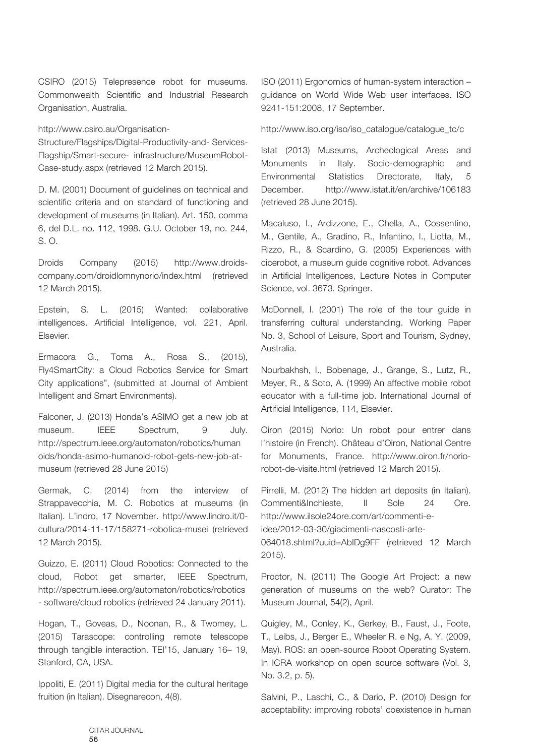CSIRO (2015) Telepresence robot for museums. Commonwealth Scientific and Industrial Research Organisation, Australia.

http://www.csiro.au/Organisation-

Structure/Flagships/Digital-Productivity-and- Services-Flagship/Smart-secure- infrastructure/MuseumRobot-Case-study.aspx (retrieved 12 March 2015).

D. M. (2001) Document of guidelines on technical and scientific criteria and on standard of functioning and development of museums (in Italian). Art. 150, comma 6, del D.L. no. 112, 1998. G.U. October 19, no. 244, S. O.

Droids Company (2015) http://www.droidscompany.com/droidlomnynorio/index.html (retrieved 12 March 2015).

Epstein, S. L. (2015) Wanted: collaborative intelligences. Artificial Intelligence, vol. 221, April. Elsevier.

Ermacora G., Toma A., Rosa S., (2015), Fly4SmartCity: a Cloud Robotics Service for Smart City applications", (submitted at Journal of Ambient Intelligent and Smart Environments).

Falconer, J. (2013) Honda's ASIMO get a new job at museum. IEEE Spectrum, 9 July. http://spectrum.ieee.org/automaton/robotics/human oids/honda-asimo-humanoid-robot-gets-new-job-atmuseum (retrieved 28 June 2015)

Germak, C. (2014) from the interview of Strappavecchia, M. C. Robotics at museums (in Italian). L'indro, 17 November. http://www.lindro.it/0 cultura/2014-11-17/158271-robotica-musei (retrieved 12 March 2015).

Guizzo, E. (2011) Cloud Robotics: Connected to the cloud, Robot get smarter, IEEE Spectrum, http://spectrum.ieee.org/automaton/robotics/robotics - software/cloud robotics (retrieved 24 January 2011).

Hogan, T., Goveas, D., Noonan, R., & Twomey, L. (2015) Tarascope: controlling remote telescope through tangible interaction. TEI'15, January 16– 19, Stanford, CA, USA.

Ippoliti, E. (2011) Digital media for the cultural heritage fruition (in Italian). Disegnarecon, 4(8).

ISO (2011) Ergonomics of human-system interaction – guidance on World Wide Web user interfaces. ISO 9241-151:2008, 17 September.

http://www.iso.org/iso/iso\_catalogue/catalogue\_tc/c

Istat (2013) Museums, Archeological Areas and Monuments in Italy. Socio-demographic and Environmental Statistics Directorate, Italy, 5 December. http://www.istat.it/en/archive/106183 (retrieved 28 June 2015).

Macaluso, I., Ardizzone, E., Chella, A., Cossentino, M., Gentile, A., Gradino, R., Infantino, I., Liotta, M., Rizzo, R., & Scardino, G. (2005) Experiences with cicerobot, a museum guide cognitive robot. Advances in Artificial Intelligences, Lecture Notes in Computer Science, vol. 3673. Springer.

McDonnell, I. (2001) The role of the tour guide in transferring cultural understanding. Working Paper No. 3, School of Leisure, Sport and Tourism, Sydney, Australia.

Nourbakhsh, I., Bobenage, J., Grange, S., Lutz, R., Meyer, R., & Soto, A. (1999) An affective mobile robot educator with a full-time job. International Journal of Artificial Intelligence, 114, Elsevier.

Oiron (2015) Norio: Un robot pour entrer dans l'histoire (in French). Château d'Oiron, National Centre for Monuments, France. http://www.oiron.fr/noriorobot-de-visite.html (retrieved 12 March 2015).

Pirrelli, M. (2012) The hidden art deposits (in Italian). Commenti&Inchieste, Il Sole 24 Ore. http://www.ilsole24ore.com/art/commenti-e-

idee/2012-03-30/giacimenti-nascosti-arte-

064018.shtml?uuid=AbIDg9FF (retrieved 12 March 2015).

Proctor, N. (2011) The Google Art Project: a new generation of museums on the web? Curator: The Museum Journal, 54(2), April.

Quigley, M., Conley, K., Gerkey, B., Faust, J., Foote, T., Leibs, J., Berger E., Wheeler R. e Ng, A. Y. (2009, May). ROS: an open-source Robot Operating System. In ICRA workshop on open source software (Vol. 3, No. 3.2, p. 5).

Salvini, P., Laschi, C., & Dario, P. (2010) Design for acceptability: improving robots' coexistence in human